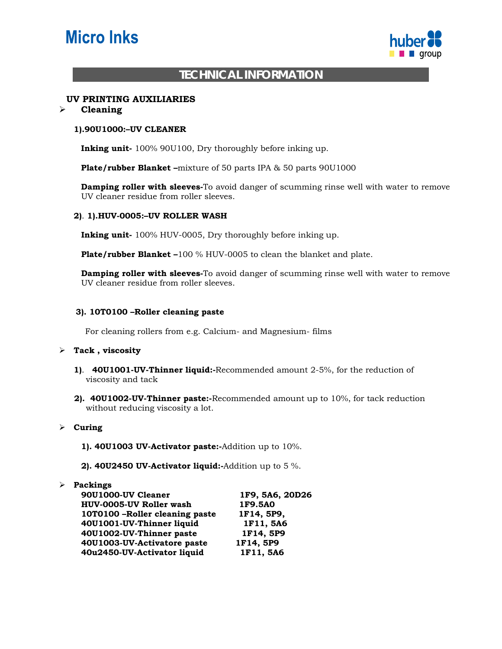# **Micro Inks**



## **TECHNICAL INFORMATION**

#### **UV PRINTING AUXILIARIES**  ¾ **Cleaning**

# **1).90U1000:–UV CLEANER**

**Inking unit-** 100% 90U100, Dry thoroughly before inking up.

**Plate/rubber Blanket –**mixture of 50 parts IPA & 50 parts 90U1000

**Damping roller with sleeves-**To avoid danger of scumming rinse well with water to remove UV cleaner residue from roller sleeves.

#### **2)**. **1).HUV-0005:–UV ROLLER WASH**

**Inking unit-** 100% HUV-0005, Dry thoroughly before inking up.

**Plate/rubber Blanket –**100 % HUV-0005 to clean the blanket and plate.

**Damping roller with sleeves-**To avoid danger of scumming rinse well with water to remove UV cleaner residue from roller sleeves.

#### **3). 10T0100 –Roller cleaning paste**

For cleaning rollers from e.g. Calcium- and Magnesium- films

#### ¾ **Tack , viscosity**

- **1)**. **40U1001-UV-Thinner liquid:-**Recommended amount 2-5%, for the reduction of viscosity and tack
- **2). 40U1002-UV-Thinner paste:-**Recommended amount up to 10%, for tack reduction without reducing viscosity a lot.

#### ¾ **Curing**

**1). 40U1003 UV-Activator paste:-**Addition up to 10%.

**2). 40U2450 UV-Activator liquid:-**Addition up to 5 %.

#### ¾ **Packings**

| 90U1000-UV Cleaner             | 1F9, 5A6, 20D26 |
|--------------------------------|-----------------|
| <b>HUV-0005-UV Roller wash</b> | 1F9.5A0         |
| 10T0100 -Roller cleaning paste | 1F14, 5P9,      |
| 40U1001-UV-Thinner liquid      | 1F11, 5A6       |
| 40U1002-UV-Thinner paste       | 1F14, 5P9       |
| 40U1003-UV-Activatore paste    | 1F14, 5P9       |
| 40u2450-UV-Activator liquid    | 1F11, 5A6       |